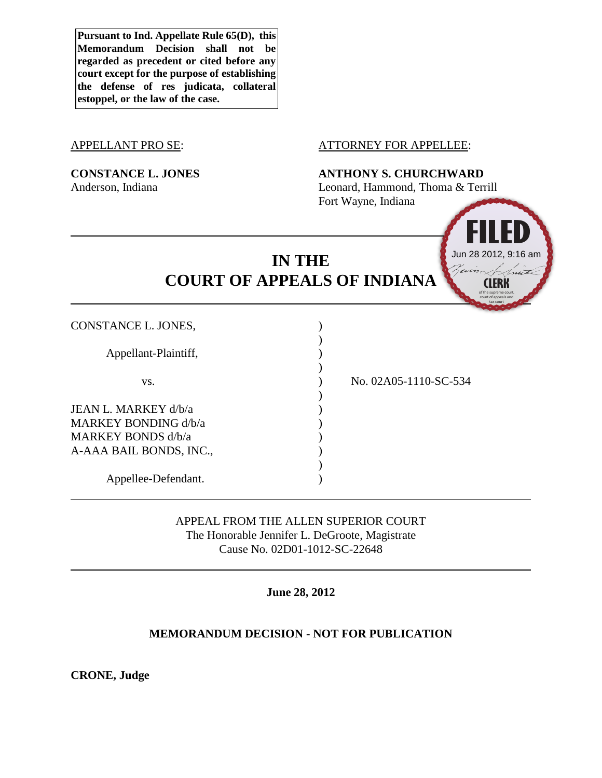**Pursuant to Ind. Appellate Rule 65(D), this Memorandum Decision shall not be regarded as precedent or cited before any court except for the purpose of establishing the defense of res judicata, collateral estoppel, or the law of the case.**

#### APPELLANT PRO SE: ATTORNEY FOR APPELLEE:

# **CONSTANCE L. JONES ANTHONY S. CHURCHWARD**

Anderson, Indiana Leonard, Hammond, Thoma & Terrill Fort Wayne, Indiana

# **IN THE COURT OF APPEALS OF INDIANA**

Appellee-Defendant. )

# APPEAL FROM THE ALLEN SUPERIOR COURT The Honorable Jennifer L. DeGroote, Magistrate Cause No. 02D01-1012-SC-22648

)

**June 28, 2012**

# **MEMORANDUM DECISION - NOT FOR PUBLICATION**

**CRONE, Judge**

CONSTANCE L. JONES, ) ) Appellant-Plaintiff, ) ) vs. ) No. 02A05-1110-SC-534 ) JEAN L. MARKEY d/b/a ) MARKEY BONDING d/b/a ) MARKEY BONDS d/b/a ) A-AAA BAIL BONDS, INC., )

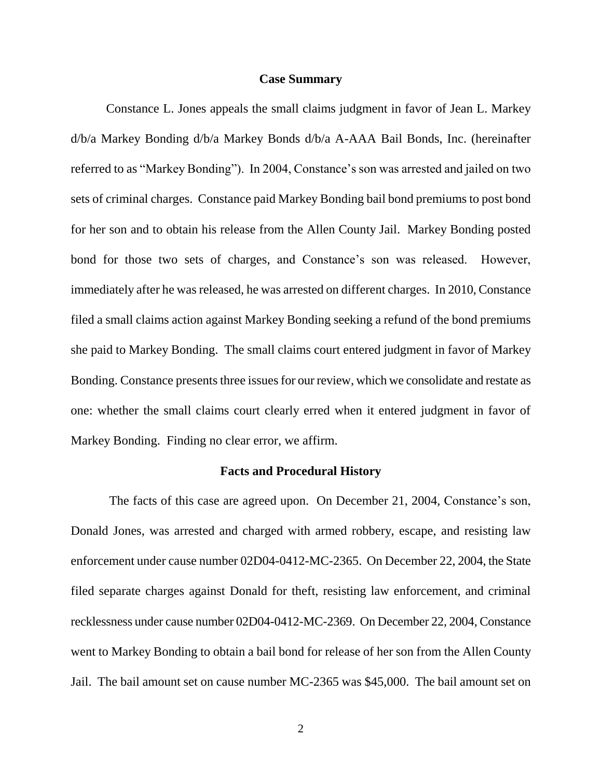#### **Case Summary**

Constance L. Jones appeals the small claims judgment in favor of Jean L. Markey d/b/a Markey Bonding d/b/a Markey Bonds d/b/a A-AAA Bail Bonds, Inc. (hereinafter referred to as "Markey Bonding"). In 2004, Constance's son was arrested and jailed on two sets of criminal charges. Constance paid Markey Bonding bail bond premiums to post bond for her son and to obtain his release from the Allen County Jail. Markey Bonding posted bond for those two sets of charges, and Constance's son was released. However, immediately after he was released, he was arrested on different charges. In 2010, Constance filed a small claims action against Markey Bonding seeking a refund of the bond premiums she paid to Markey Bonding. The small claims court entered judgment in favor of Markey Bonding. Constance presents three issues for our review, which we consolidate and restate as one: whether the small claims court clearly erred when it entered judgment in favor of Markey Bonding. Finding no clear error, we affirm.

#### **Facts and Procedural History**

The facts of this case are agreed upon. On December 21, 2004, Constance's son, Donald Jones, was arrested and charged with armed robbery, escape, and resisting law enforcement under cause number 02D04-0412-MC-2365. On December 22, 2004, the State filed separate charges against Donald for theft, resisting law enforcement, and criminal recklessness under cause number 02D04-0412-MC-2369. On December 22, 2004, Constance went to Markey Bonding to obtain a bail bond for release of her son from the Allen County Jail. The bail amount set on cause number MC-2365 was \$45,000. The bail amount set on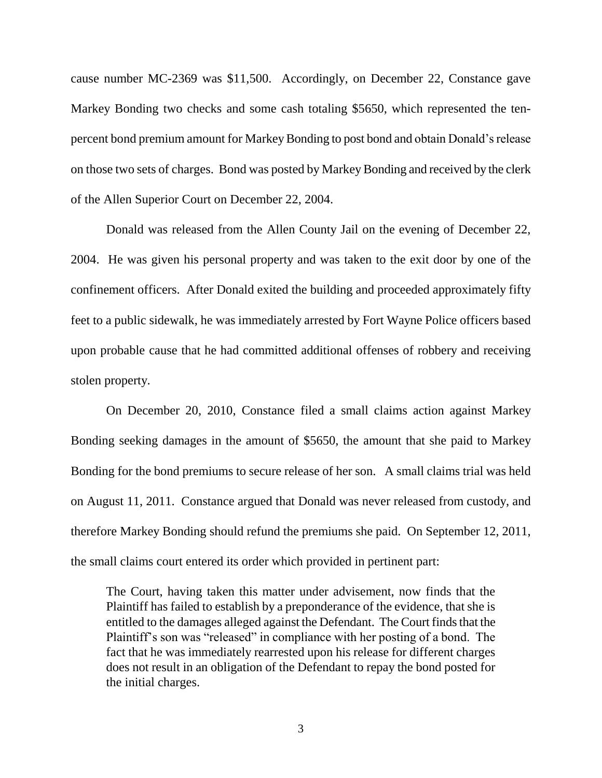cause number MC-2369 was \$11,500. Accordingly, on December 22, Constance gave Markey Bonding two checks and some cash totaling \$5650, which represented the tenpercent bond premium amount for Markey Bonding to post bond and obtain Donald's release on those two sets of charges. Bond was posted by Markey Bonding and received by the clerk of the Allen Superior Court on December 22, 2004.

Donald was released from the Allen County Jail on the evening of December 22, 2004. He was given his personal property and was taken to the exit door by one of the confinement officers. After Donald exited the building and proceeded approximately fifty feet to a public sidewalk, he was immediately arrested by Fort Wayne Police officers based upon probable cause that he had committed additional offenses of robbery and receiving stolen property.

On December 20, 2010, Constance filed a small claims action against Markey Bonding seeking damages in the amount of \$5650, the amount that she paid to Markey Bonding for the bond premiums to secure release of her son. A small claims trial was held on August 11, 2011. Constance argued that Donald was never released from custody, and therefore Markey Bonding should refund the premiums she paid. On September 12, 2011, the small claims court entered its order which provided in pertinent part:

The Court, having taken this matter under advisement, now finds that the Plaintiff has failed to establish by a preponderance of the evidence, that she is entitled to the damages alleged against the Defendant. The Court finds that the Plaintiff's son was "released" in compliance with her posting of a bond. The fact that he was immediately rearrested upon his release for different charges does not result in an obligation of the Defendant to repay the bond posted for the initial charges.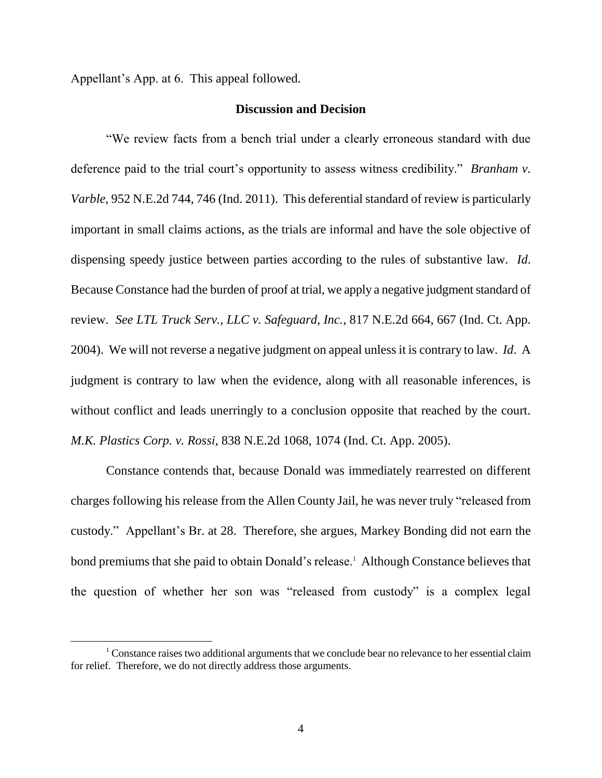Appellant's App. at 6. This appeal followed.

 $\overline{a}$ 

### **Discussion and Decision**

"We review facts from a bench trial under a clearly erroneous standard with due deference paid to the trial court's opportunity to assess witness credibility." *Branham v. Varble*, 952 N.E.2d 744, 746 (Ind. 2011). This deferential standard of review is particularly important in small claims actions, as the trials are informal and have the sole objective of dispensing speedy justice between parties according to the rules of substantive law. *Id*. Because Constance had the burden of proof at trial, we apply a negative judgment standard of review. *See LTL Truck Serv., LLC v. Safeguard, Inc.*, 817 N.E.2d 664, 667 (Ind. Ct. App. 2004). We will not reverse a negative judgment on appeal unless it is contrary to law. *Id*. A judgment is contrary to law when the evidence, along with all reasonable inferences, is without conflict and leads unerringly to a conclusion opposite that reached by the court. *M.K. Plastics Corp. v. Rossi*, 838 N.E.2d 1068, 1074 (Ind. Ct. App. 2005).

Constance contends that, because Donald was immediately rearrested on different charges following his release from the Allen County Jail, he was never truly "released from custody." Appellant's Br. at 28. Therefore, she argues, Markey Bonding did not earn the bond premiums that she paid to obtain Donald's release.<sup>1</sup> Although Constance believes that the question of whether her son was "released from custody" is a complex legal

<sup>&</sup>lt;sup>1</sup> Constance raises two additional arguments that we conclude bear no relevance to her essential claim for relief. Therefore, we do not directly address those arguments.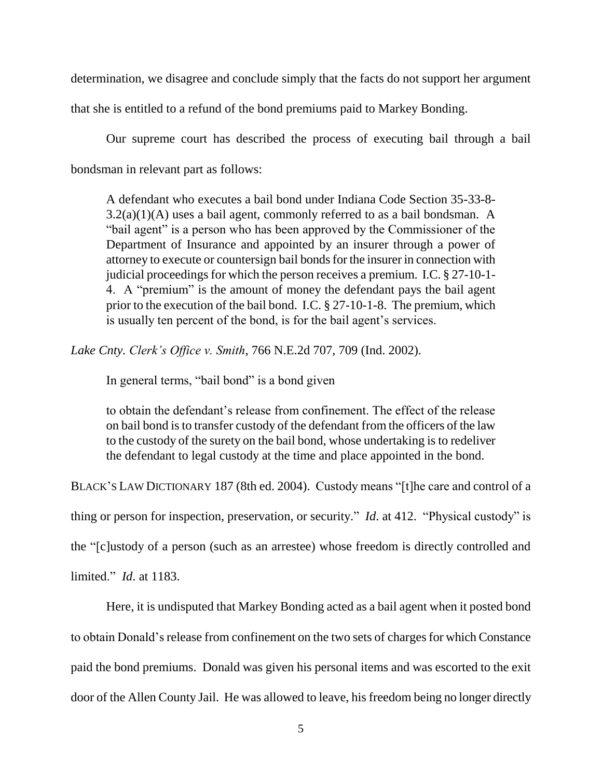determination, we disagree and conclude simply that the facts do not support her argument

that she is entitled to a refund of the bond premiums paid to Markey Bonding.

Our supreme court has described the process of executing bail through a bail bondsman in relevant part as follows:

A defendant who executes a bail bond under Indiana Code Section 35-33-8-  $3.2(a)(1)(A)$  uses a bail agent, commonly referred to as a bail bondsman. A "bail agent" is a person who has been approved by the Commissioner of the Department of Insurance and appointed by an insurer through a power of attorney to execute or countersign bail bonds for the insurer in connection with judicial proceedings for which the person receives a premium. I.C. § 27-10-1- 4. A "premium" is the amount of money the defendant pays the bail agent prior to the execution of the bail bond. I.C. § 27-10-1-8. The premium, which is usually ten percent of the bond, is for the bail agent's services.

*Lake Cnty. Clerk's Office v. Smith*, 766 N.E.2d 707, 709 (Ind. 2002).

In general terms, "bail bond" is a bond given

to obtain the defendant's release from confinement. The effect of the release on bail bond is to transfer custody of the defendant from the officers of the law to the custody of the surety on the bail bond, whose undertaking is to redeliver the defendant to legal custody at the time and place appointed in the bond.

BLACK'S LAW DICTIONARY 187 (8th ed. 2004). Custody means "[t]he care and control of a

thing or person for inspection, preservation, or security." *Id*. at 412. "Physical custody" is

the "[c]ustody of a person (such as an arrestee) whose freedom is directly controlled and

limited." *Id*. at 1183.

Here, it is undisputed that Markey Bonding acted as a bail agent when it posted bond to obtain Donald's release from confinement on the two sets of charges for which Constance paid the bond premiums. Donald was given his personal items and was escorted to the exit door of the Allen County Jail. He was allowed to leave, his freedom being no longer directly